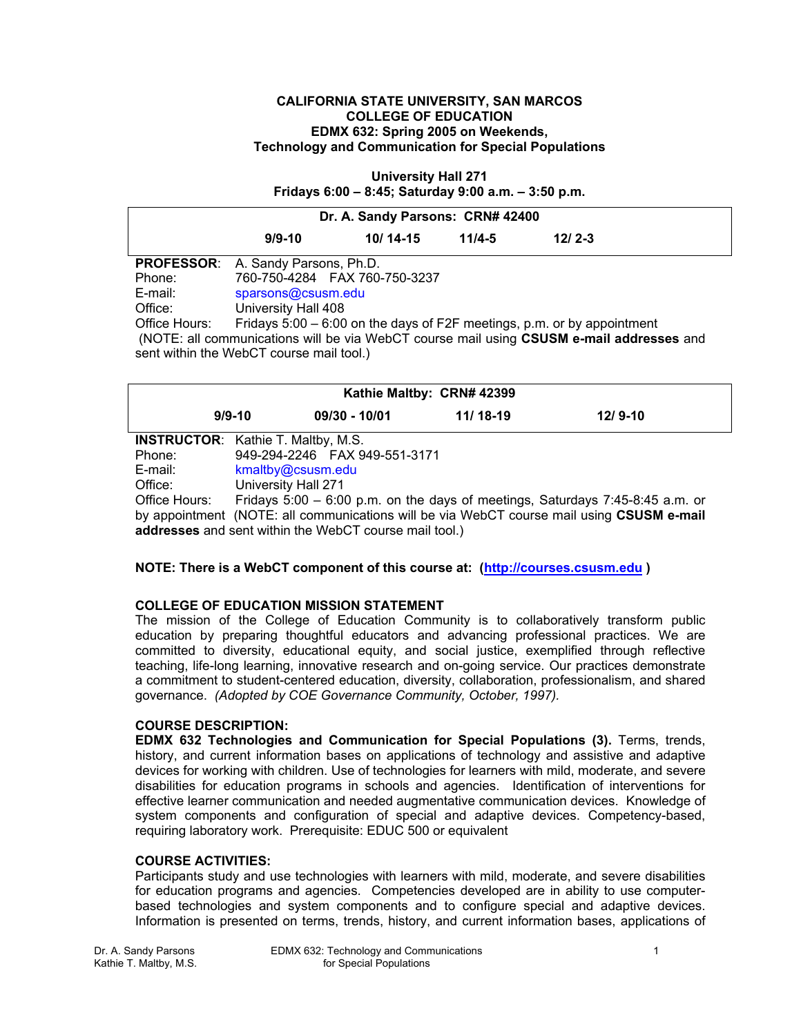#### **CALIFORNIA STATE UNIVERSITY, SAN MARCOS COLLEGE OF EDUCATION EDMX 632: Spring 2005 on Weekends, Technology and Communication for Special Populations**

**University Hall 271 Fridays 6:00 – 8:45; Saturday 9:00 a.m. – 3:50 p.m.** 

| Dr. A. Sandy Parsons: CRN# 42400                                                                                                     |                                                                         |                               |            |          |  |
|--------------------------------------------------------------------------------------------------------------------------------------|-------------------------------------------------------------------------|-------------------------------|------------|----------|--|
|                                                                                                                                      | $9/9 - 10$                                                              | $10/14 - 15$                  | $11/4 - 5$ | $12/2-3$ |  |
| <b>PROFESSOR:</b>                                                                                                                    | A. Sandy Parsons, Ph.D.                                                 |                               |            |          |  |
| Phone:                                                                                                                               |                                                                         | 760-750-4284 FAX 760-750-3237 |            |          |  |
| E-mail:                                                                                                                              | sparsons@csusm.edu                                                      |                               |            |          |  |
| Office:                                                                                                                              | University Hall 408                                                     |                               |            |          |  |
| Office Hours:                                                                                                                        | Fridays 5:00 – 6:00 on the days of F2F meetings, p.m. or by appointment |                               |            |          |  |
| (NOTE: all communications will be via WebCT course mail using CSUSM e-mail addresses and<br>sent within the WebCT course mail tool.) |                                                                         |                               |            |          |  |

| Kathie Maltby: CRN# 42399                              |                     |                                |            |                                                                                           |  |  |  |
|--------------------------------------------------------|---------------------|--------------------------------|------------|-------------------------------------------------------------------------------------------|--|--|--|
|                                                        | $9/9 - 10$          | $09/30 - 10/01$                | $11/18-19$ | $12/9 - 10$                                                                               |  |  |  |
| <b>INSTRUCTOR:</b> Kathie T. Maltby, M.S.              |                     |                                |            |                                                                                           |  |  |  |
| Phone:                                                 |                     | 949-294-2246  FAX 949-551-3171 |            |                                                                                           |  |  |  |
| E-mail:                                                | kmaltby@csusm.edu   |                                |            |                                                                                           |  |  |  |
| Office:                                                | University Hall 271 |                                |            |                                                                                           |  |  |  |
| Office Hours:                                          |                     |                                |            | Fridays 5:00 - 6:00 p.m. on the days of meetings, Saturdays 7:45-8:45 a.m. or             |  |  |  |
|                                                        |                     |                                |            | by appointment (NOTE: all communications will be via WebCT course mail using CSUSM e-mail |  |  |  |
| addresses and sent within the WebCT course mail tool.) |                     |                                |            |                                                                                           |  |  |  |

#### **NOTE: There is a WebCT component of this course at: (http://courses.csusm.edu )**

#### **COLLEGE OF EDUCATION MISSION STATEMENT**

The mission of the College of Education Community is to collaboratively transform public education by preparing thoughtful educators and advancing professional practices. We are committed to diversity, educational equity, and social justice, exemplified through reflective teaching, life-long learning, innovative research and on-going service. Our practices demonstrate a commitment to student-centered education, diversity, collaboration, professionalism, and shared governance. *(Adopted by COE Governance Community, October, 1997).* 

#### **COURSE DESCRIPTION:**

**EDMX 632 Technologies and Communication for Special Populations (3).** Terms, trends, history, and current information bases on applications of technology and assistive and adaptive devices for working with children. Use of technologies for learners with mild, moderate, and severe disabilities for education programs in schools and agencies. Identification of interventions for effective learner communication and needed augmentative communication devices. Knowledge of system components and configuration of special and adaptive devices. Competency-based, requiring laboratory work. Prerequisite: EDUC 500 or equivalent

#### **COURSE ACTIVITIES:**

Participants study and use technologies with learners with mild, moderate, and severe disabilities for education programs and agencies. Competencies developed are in ability to use computerbased technologies and system components and to configure special and adaptive devices. Information is presented on terms, trends, history, and current information bases, applications of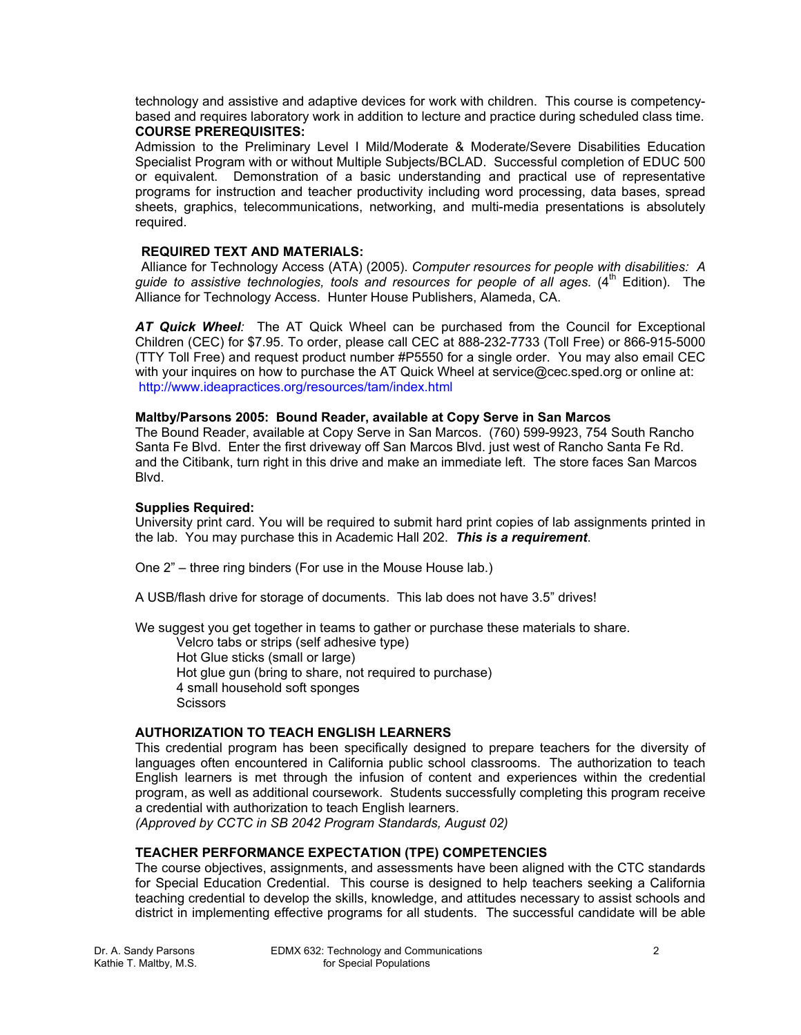technology and assistive and adaptive devices for work with children. This course is competencybased and requires laboratory work in addition to lecture and practice during scheduled class time. **COURSE PREREQUISITES:** 

Admission to the Preliminary Level I Mild/Moderate & Moderate/Severe Disabilities Education Specialist Program with or without Multiple Subjects/BCLAD. Successful completion of EDUC 500 or equivalent. Demonstration of a basic understanding and practical use of representative programs for instruction and teacher productivity including word processing, data bases, spread sheets, graphics, telecommunications, networking, and multi-media presentations is absolutely required.

#### **REQUIRED TEXT AND MATERIALS:**

 Alliance for Technology Access (ATA) (2005). *Computer resources for people with disabilities: A guide to assistive technologies, tools and resources for people of all ages.* (4th Edition). The Alliance for Technology Access. Hunter House Publishers, Alameda, CA.

*AT Quick Wheel:* The AT Quick Wheel can be purchased from the Council for Exceptional Children (CEC) for \$7.95. To order, please call CEC at 888-232-7733 (Toll Free) or 866-915-5000 (TTY Toll Free) and request product number #P5550 for a single order. You may also email CEC with your inquires on how to purchase the AT Quick Wheel at service@cec.sped.org or online at: http://www.ideapractices.org/resources/tam/index.html

## **Maltby/Parsons 2005: Bound Reader, available at Copy Serve in San Marcos**

The Bound Reader, available at Copy Serve in San Marcos. (760) 599-9923, 754 South Rancho Santa Fe Blvd. Enter the first driveway off San Marcos Blvd. just west of Rancho Santa Fe Rd. and the Citibank, turn right in this drive and make an immediate left. The store faces San Marcos Blvd.

## **Supplies Required:**

University print card. You will be required to submit hard print copies of lab assignments printed in the lab. You may purchase this in Academic Hall 202. *This is a requirement*.

One 2" – three ring binders (For use in the Mouse House lab.)

A USB/flash drive for storage of documents. This lab does not have 3.5" drives!

We suggest you get together in teams to gather or purchase these materials to share.

 Velcro tabs or strips (self adhesive type) Hot Glue sticks (small or large) Hot glue gun (bring to share, not required to purchase) 4 small household soft sponges **Scissors** 

# **AUTHORIZATION TO TEACH ENGLISH LEARNERS**

This credential program has been specifically designed to prepare teachers for the diversity of languages often encountered in California public school classrooms. The authorization to teach English learners is met through the infusion of content and experiences within the credential program, as well as additional coursework. Students successfully completing this program receive a credential with authorization to teach English learners.

*(Approved by CCTC in SB 2042 Program Standards, August 02)*

# **TEACHER PERFORMANCE EXPECTATION (TPE) COMPETENCIES**

The course objectives, assignments, and assessments have been aligned with the CTC standards for Special Education Credential. This course is designed to help teachers seeking a California teaching credential to develop the skills, knowledge, and attitudes necessary to assist schools and district in implementing effective programs for all students. The successful candidate will be able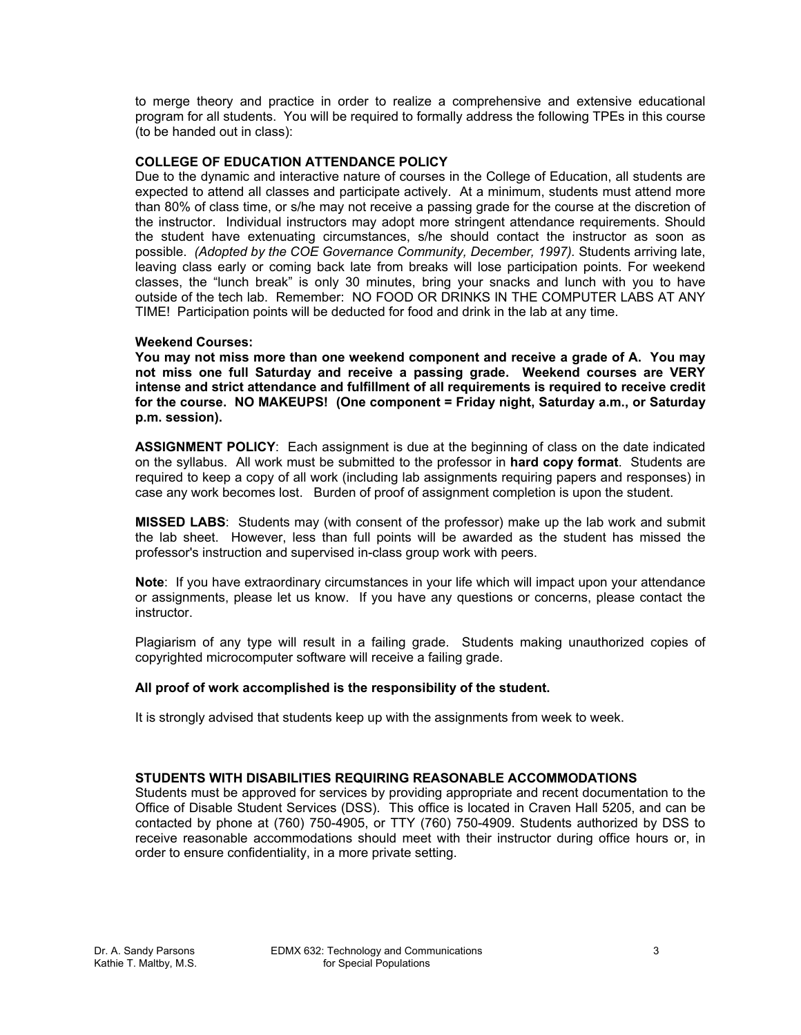to merge theory and practice in order to realize a comprehensive and extensive educational program for all students. You will be required to formally address the following TPEs in this course (to be handed out in class):

## **COLLEGE OF EDUCATION ATTENDANCE POLICY**

Due to the dynamic and interactive nature of courses in the College of Education, all students are expected to attend all classes and participate actively. At a minimum, students must attend more than 80% of class time, or s/he may not receive a passing grade for the course at the discretion of the instructor. Individual instructors may adopt more stringent attendance requirements. Should the student have extenuating circumstances, s/he should contact the instructor as soon as possible. *(Adopted by the COE Governance Community, December, 1997).* Students arriving late, leaving class early or coming back late from breaks will lose participation points. For weekend classes, the "lunch break" is only 30 minutes, bring your snacks and lunch with you to have outside of the tech lab. Remember: NO FOOD OR DRINKS IN THE COMPUTER LABS AT ANY TIME! Participation points will be deducted for food and drink in the lab at any time.

#### **Weekend Courses:**

**You may not miss more than one weekend component and receive a grade of A. You may not miss one full Saturday and receive a passing grade. Weekend courses are VERY intense and strict attendance and fulfillment of all requirements is required to receive credit for the course. NO MAKEUPS! (One component = Friday night, Saturday a.m., or Saturday p.m. session).** 

**ASSIGNMENT POLICY**: Each assignment is due at the beginning of class on the date indicated on the syllabus. All work must be submitted to the professor in **hard copy format**. Students are required to keep a copy of all work (including lab assignments requiring papers and responses) in case any work becomes lost. Burden of proof of assignment completion is upon the student.

**MISSED LABS**: Students may (with consent of the professor) make up the lab work and submit the lab sheet. However, less than full points will be awarded as the student has missed the professor's instruction and supervised in-class group work with peers.

**Note**: If you have extraordinary circumstances in your life which will impact upon your attendance or assignments, please let us know. If you have any questions or concerns, please contact the instructor.

Plagiarism of any type will result in a failing grade. Students making unauthorized copies of copyrighted microcomputer software will receive a failing grade.

#### **All proof of work accomplished is the responsibility of the student.**

It is strongly advised that students keep up with the assignments from week to week.

## **STUDENTS WITH DISABILITIES REQUIRING REASONABLE ACCOMMODATIONS**

Students must be approved for services by providing appropriate and recent documentation to the Office of Disable Student Services (DSS). This office is located in Craven Hall 5205, and can be contacted by phone at (760) 750-4905, or TTY (760) 750-4909. Students authorized by DSS to receive reasonable accommodations should meet with their instructor during office hours or, in order to ensure confidentiality, in a more private setting.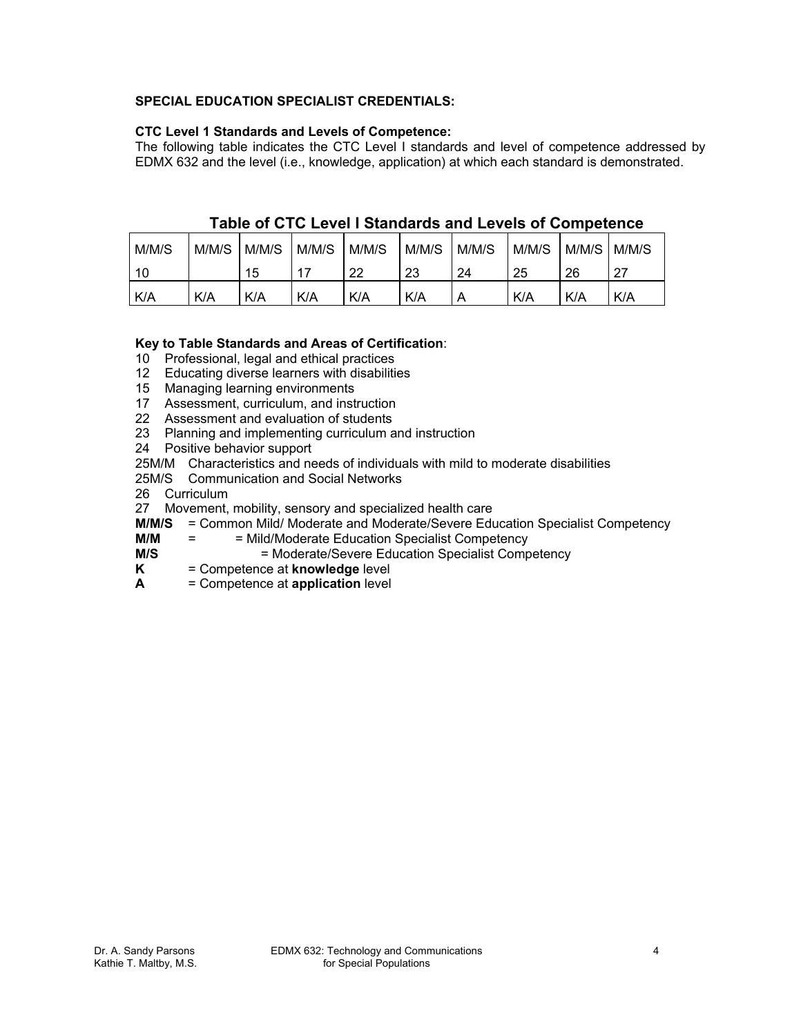# **SPECIAL EDUCATION SPECIALIST CREDENTIALS:**

# **CTC Level 1 Standards and Levels of Competence:**

The following table indicates the CTC Level I standards and level of competence addressed by EDMX 632 and the level (i.e., knowledge, application) at which each standard is demonstrated.

| M/M/S | M/M/S | M/M/S | M/M/S      | M/M/S | M/M/S | M/M/S | M/M/S | M/M/S | M/M/S |
|-------|-------|-------|------------|-------|-------|-------|-------|-------|-------|
| 10    |       | 15    | 17         | 22    | 23    | 24    | 25    | 26    | -27   |
| K/A   | K/A   | K/A   | <b>K/A</b> | K/A   | K/A   | n     | K/A   | K/A   | K/A   |

# **Table of CTC Level I Standards and Levels of Competence**

# **Key to Table Standards and Areas of Certification**:

10 Professional, legal and ethical practices

- 12 Educating diverse learners with disabilities
- 15 Managing learning environments
- 17 Assessment, curriculum, and instruction
- 22 Assessment and evaluation of students
- 23 Planning and implementing curriculum and instruction
- 24 Positive behavior support
- 25M/M Characteristics and needs of individuals with mild to moderate disabilities
- 25M/S Communication and Social Networks
- 26 Curriculum
- 27 Movement, mobility, sensory and specialized health care
- **M/M/S** = Common Mild/ Moderate and Moderate/Severe Education Specialist Competency
- **M/M** = = Mild/Moderate Education Specialist Competency
- **M/S** = Moderate/Severe Education Specialist Competency
- **K** = Competence at **knowledge** level
- **A** = Competence at **application** level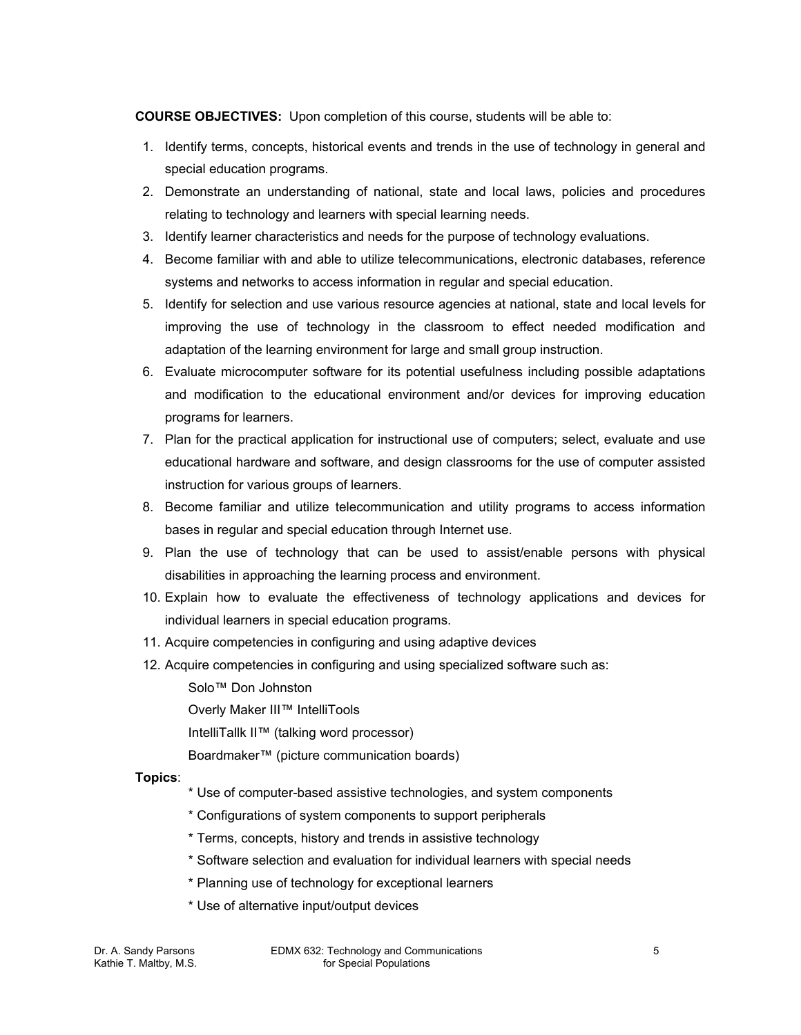**COURSE OBJECTIVES:** Upon completion of this course, students will be able to:

- 1. Identify terms, concepts, historical events and trends in the use of technology in general and special education programs.
- 2. Demonstrate an understanding of national, state and local laws, policies and procedures relating to technology and learners with special learning needs.
- 3. Identify learner characteristics and needs for the purpose of technology evaluations.
- 4. Become familiar with and able to utilize telecommunications, electronic databases, reference systems and networks to access information in regular and special education.
- 5. Identify for selection and use various resource agencies at national, state and local levels for improving the use of technology in the classroom to effect needed modification and adaptation of the learning environment for large and small group instruction.
- 6. Evaluate microcomputer software for its potential usefulness including possible adaptations and modification to the educational environment and/or devices for improving education programs for learners.
- 7. Plan for the practical application for instructional use of computers; select, evaluate and use educational hardware and software, and design classrooms for the use of computer assisted instruction for various groups of learners.
- 8. Become familiar and utilize telecommunication and utility programs to access information bases in regular and special education through Internet use.
- 9. Plan the use of technology that can be used to assist/enable persons with physical disabilities in approaching the learning process and environment.
- 10. Explain how to evaluate the effectiveness of technology applications and devices for individual learners in special education programs.
- 11. Acquire competencies in configuring and using adaptive devices
- 12. Acquire competencies in configuring and using specialized software such as:
	- Solo™ Don Johnston
	- Overly Maker III™ IntelliTools
	- IntelliTallk II™ (talking word processor)
	- Boardmaker™ (picture communication boards)

# **Topics**:

- \* Use of computer-based assistive technologies, and system components
- \* Configurations of system components to support peripherals
- \* Terms, concepts, history and trends in assistive technology
- \* Software selection and evaluation for individual learners with special needs
- \* Planning use of technology for exceptional learners
- \* Use of alternative input/output devices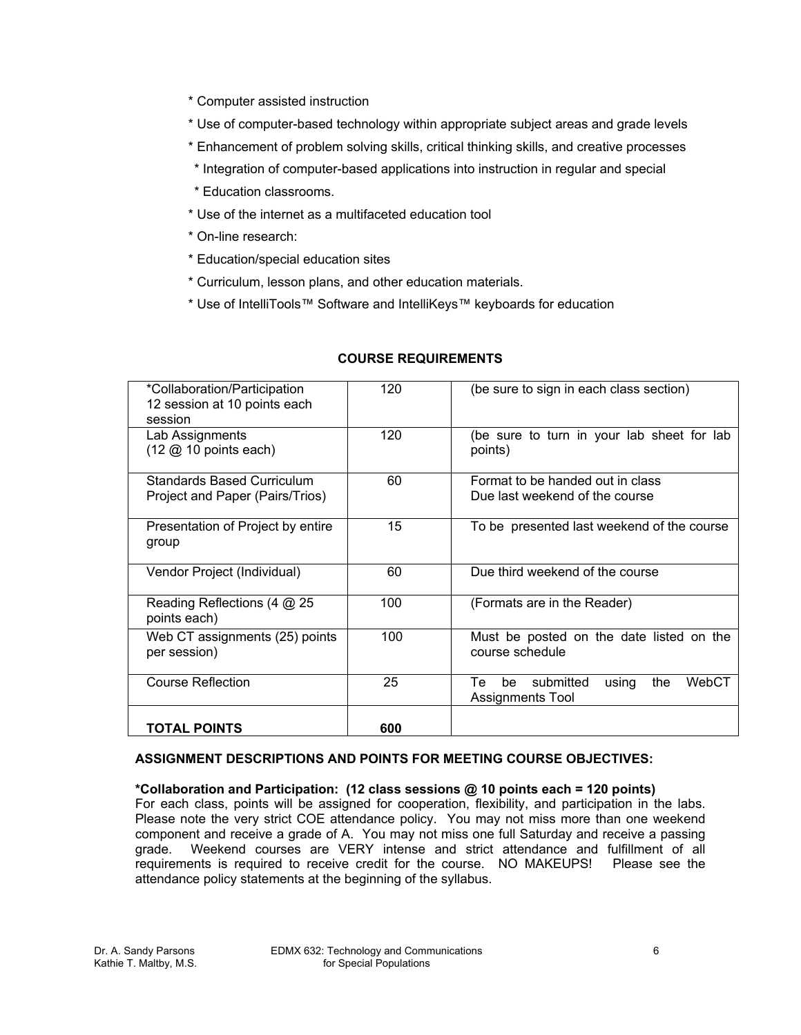- \* Computer assisted instruction
- \* Use of computer-based technology within appropriate subject areas and grade levels
- \* Enhancement of problem solving skills, critical thinking skills, and creative processes
- \* Integration of computer-based applications into instruction in regular and special
- \* Education classrooms.
- \* Use of the internet as a multifaceted education tool
- \* On-line research:
- \* Education/special education sites
- \* Curriculum, lesson plans, and other education materials.
- \* Use of IntelliTools™ Software and IntelliKeys™ keyboards for education

| *Collaboration/Participation<br>12 session at 10 points each<br>session   | 120 | (be sure to sign in each class section)                                   |  |  |
|---------------------------------------------------------------------------|-----|---------------------------------------------------------------------------|--|--|
| Lab Assignments<br>$(12 \text{ } \textcircled{2} 10 \text{ points each})$ | 120 | (be sure to turn in your lab sheet for lab<br>points)                     |  |  |
| Standards Based Curriculum<br>Project and Paper (Pairs/Trios)             | 60  | Format to be handed out in class<br>Due last weekend of the course        |  |  |
| Presentation of Project by entire<br>group                                | 15  | To be presented last weekend of the course                                |  |  |
| Vendor Project (Individual)                                               | 60  | Due third weekend of the course                                           |  |  |
| Reading Reflections (4 @ 25<br>points each)                               | 100 | (Formats are in the Reader)                                               |  |  |
| Web CT assignments (25) points<br>per session)                            | 100 | Must be posted on the date listed on the<br>course schedule               |  |  |
| Course Reflection                                                         | 25  | Тe<br>submitted<br>be<br>the<br>WebCT<br>using<br><b>Assignments Tool</b> |  |  |
| <b>TOTAL POINTS</b>                                                       | 600 |                                                                           |  |  |

# **COURSE REQUIREMENTS**

#### **ASSIGNMENT DESCRIPTIONS AND POINTS FOR MEETING COURSE OBJECTIVES:**

# **\*Collaboration and Participation: (12 class sessions @ 10 points each = 120 points)**

For each class, points will be assigned for cooperation, flexibility, and participation in the labs. Please note the very strict COE attendance policy. You may not miss more than one weekend component and receive a grade of A. You may not miss one full Saturday and receive a passing grade. Weekend courses are VERY intense and strict attendance and fulfillment of all Weekend courses are VERY intense and strict attendance and fulfillment of all requirements is required to receive credit for the course. NO MAKEUPS! Please see the attendance policy statements at the beginning of the syllabus.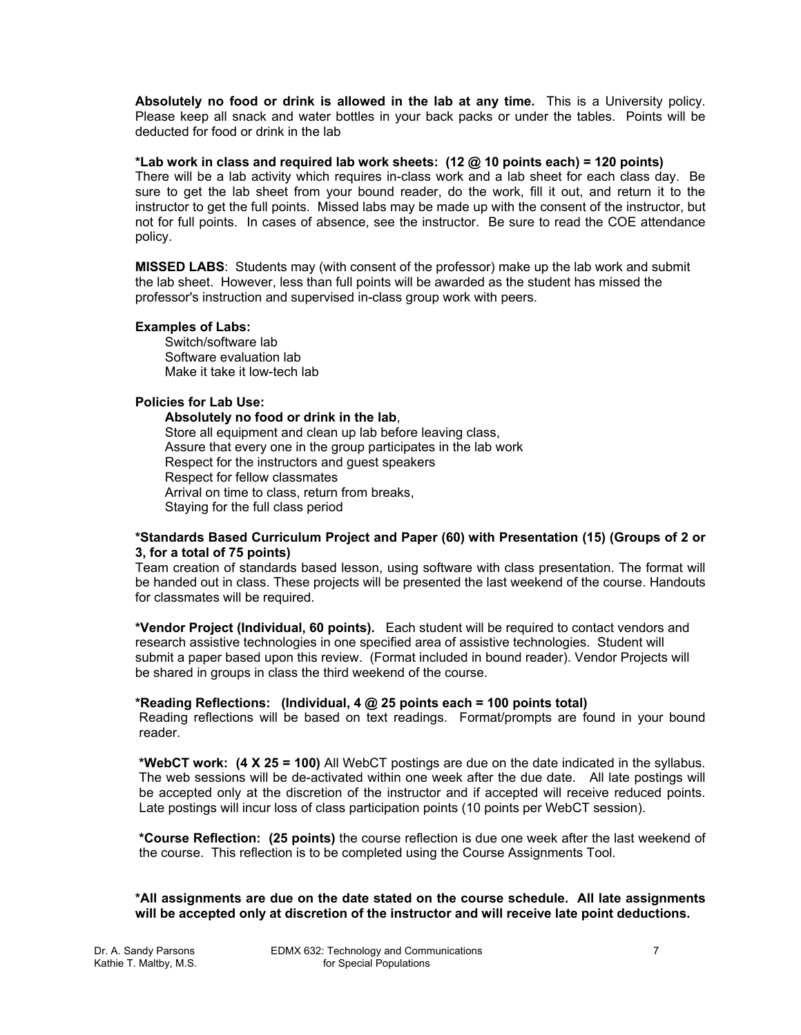**Absolutely no food or drink is allowed in the lab at any time.** This is a University policy. Please keep all snack and water bottles in your back packs or under the tables. Points will be deducted for food or drink in the lab

#### **\*Lab work in class and required lab work sheets: (12 @ 10 points each) = 120 points)**

There will be a lab activity which requires in-class work and a lab sheet for each class day. Be sure to get the lab sheet from your bound reader, do the work, fill it out, and return it to the instructor to get the full points. Missed labs may be made up with the consent of the instructor, but not for full points. In cases of absence, see the instructor. Be sure to read the COE attendance policy.

**MISSED LABS**: Students may (with consent of the professor) make up the lab work and submit the lab sheet. However, less than full points will be awarded as the student has missed the professor's instruction and supervised in-class group work with peers.

#### **Examples of Labs:**

Switch/software lab Software evaluation lab Make it take it low-tech lab

## **Policies for Lab Use:**

**Absolutely no food or drink in the lab**, Store all equipment and clean up lab before leaving class, Assure that every one in the group participates in the lab work Respect for the instructors and guest speakers Respect for fellow classmates Arrival on time to class, return from breaks, Staying for the full class period

#### **\*Standards Based Curriculum Project and Paper (60) with Presentation (15) (Groups of 2 or 3, for a total of 75 points)**

Team creation of standards based lesson, using software with class presentation. The format will be handed out in class. These projects will be presented the last weekend of the course. Handouts for classmates will be required.

**\*Vendor Project (Individual, 60 points).** Each student will be required to contact vendors and research assistive technologies in one specified area of assistive technologies. Student will submit a paper based upon this review. (Format included in bound reader). Vendor Projects will be shared in groups in class the third weekend of the course.

#### **\*Reading Reflections: (Individual, 4 @ 25 points each = 100 points total)**

Reading reflections will be based on text readings. Format/prompts are found in your bound reader.

**\*WebCT work: (4 X 25 = 100)** All WebCT postings are due on the date indicated in the syllabus. The web sessions will be de-activated within one week after the due date. All late postings will be accepted only at the discretion of the instructor and if accepted will receive reduced points. Late postings will incur loss of class participation points (10 points per WebCT session).

**\*Course Reflection: (25 points)** the course reflection is due one week after the last weekend of the course. This reflection is to be completed using the Course Assignments Tool.

**\*All assignments are due on the date stated on the course schedule. All late assignments will be accepted only at discretion of the instructor and will receive late point deductions.**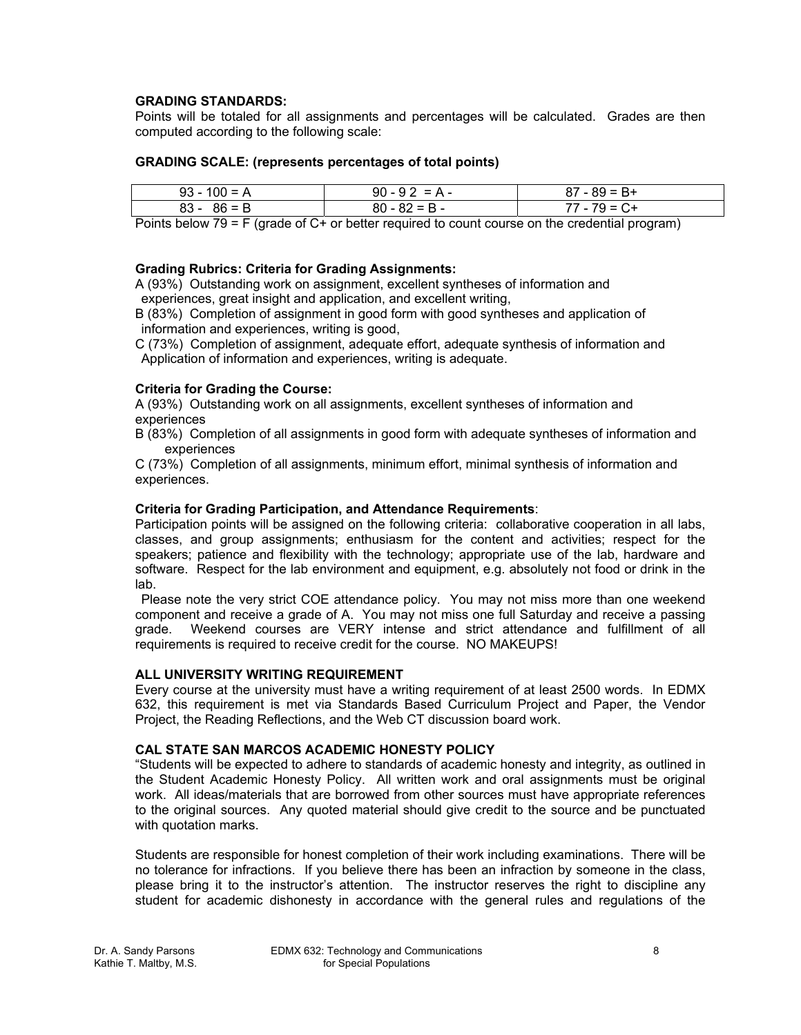## **GRADING STANDARDS:**

Points will be totaled for all assignments and percentages will be calculated. Grades are then computed according to the following scale:

#### **GRADING SCALE: (represents percentages of total points)**

| $93 - 100 = A$ | $90 - 92 = A -$ | $87 - 89 = B +$ |
|----------------|-----------------|-----------------|
| $83 - 86 = B$  | $80 - 82 = B -$ | 77 - 79 = C+    |

Points below 79 = F (grade of C+ or better required to count course on the credential program)

## **Grading Rubrics: Criteria for Grading Assignments:**

A (93%) Outstanding work on assignment, excellent syntheses of information and experiences, great insight and application, and excellent writing,

B (83%) Completion of assignment in good form with good syntheses and application of information and experiences, writing is good,

C (73%) Completion of assignment, adequate effort, adequate synthesis of information and Application of information and experiences, writing is adequate.

#### **Criteria for Grading the Course:**

A (93%) Outstanding work on all assignments, excellent syntheses of information and experiences

B (83%) Completion of all assignments in good form with adequate syntheses of information and experiences

C (73%) Completion of all assignments, minimum effort, minimal synthesis of information and experiences.

#### **Criteria for Grading Participation, and Attendance Requirements**:

Participation points will be assigned on the following criteria: collaborative cooperation in all labs, classes, and group assignments; enthusiasm for the content and activities; respect for the speakers; patience and flexibility with the technology; appropriate use of the lab, hardware and software. Respect for the lab environment and equipment, e.g. absolutely not food or drink in the lab.

 Please note the very strict COE attendance policy. You may not miss more than one weekend component and receive a grade of A. You may not miss one full Saturday and receive a passing grade. Weekend courses are VERY intense and strict attendance and fulfillment of all requirements is required to receive credit for the course. NO MAKEUPS!

#### **ALL UNIVERSITY WRITING REQUIREMENT**

Every course at the university must have a writing requirement of at least 2500 words. In EDMX 632, this requirement is met via Standards Based Curriculum Project and Paper, the Vendor Project, the Reading Reflections, and the Web CT discussion board work.

#### **CAL STATE SAN MARCOS ACADEMIC HONESTY POLICY**

"Students will be expected to adhere to standards of academic honesty and integrity, as outlined in the Student Academic Honesty Policy. All written work and oral assignments must be original work. All ideas/materials that are borrowed from other sources must have appropriate references to the original sources. Any quoted material should give credit to the source and be punctuated with quotation marks.

Students are responsible for honest completion of their work including examinations. There will be no tolerance for infractions. If you believe there has been an infraction by someone in the class, please bring it to the instructor's attention. The instructor reserves the right to discipline any student for academic dishonesty in accordance with the general rules and regulations of the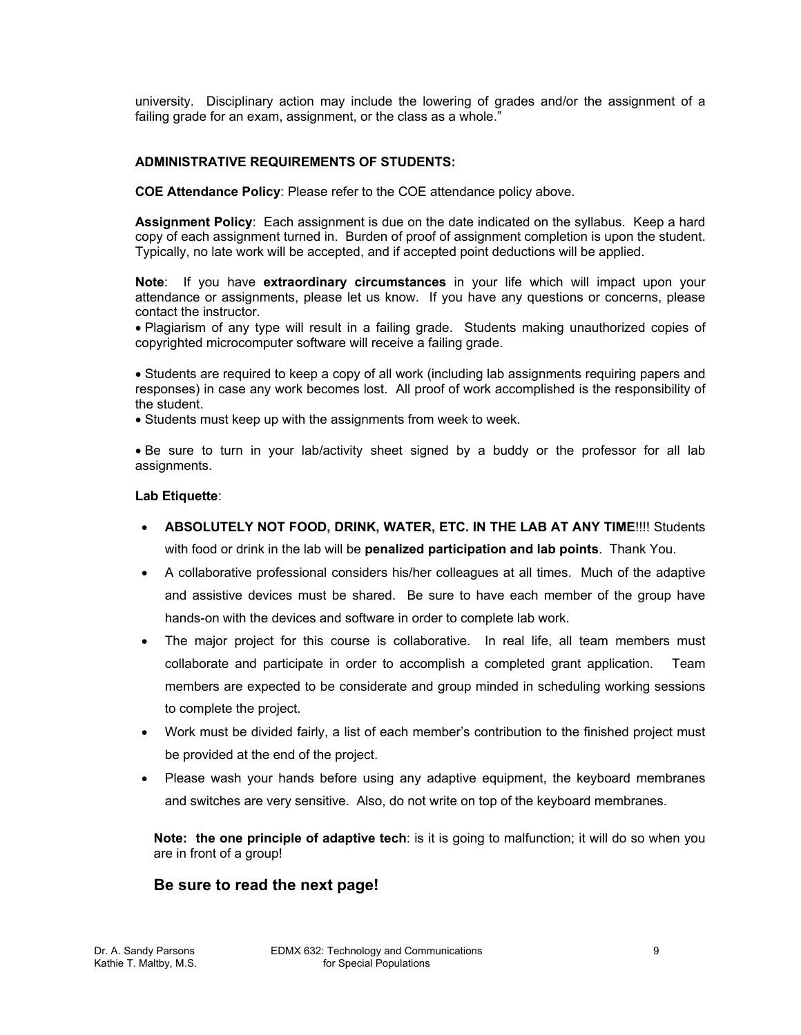university. Disciplinary action may include the lowering of grades and/or the assignment of a failing grade for an exam, assignment, or the class as a whole."

## **ADMINISTRATIVE REQUIREMENTS OF STUDENTS:**

**COE Attendance Policy**: Please refer to the COE attendance policy above.

**Assignment Policy**: Each assignment is due on the date indicated on the syllabus. Keep a hard copy of each assignment turned in. Burden of proof of assignment completion is upon the student. Typically, no late work will be accepted, and if accepted point deductions will be applied.

**Note**: If you have **extraordinary circumstances** in your life which will impact upon your attendance or assignments, please let us know. If you have any questions or concerns, please contact the instructor.

• Plagiarism of any type will result in a failing grade. Students making unauthorized copies of copyrighted microcomputer software will receive a failing grade.

• Students are required to keep a copy of all work (including lab assignments requiring papers and responses) in case any work becomes lost. All proof of work accomplished is the responsibility of the student.

• Students must keep up with the assignments from week to week.

• Be sure to turn in your lab/activity sheet signed by a buddy or the professor for all lab assignments.

#### **Lab Etiquette**:

- **ABSOLUTELY NOT FOOD, DRINK, WATER, ETC. IN THE LAB AT ANY TIME**!!!! Students with food or drink in the lab will be **penalized participation and lab points**. Thank You.
- A collaborative professional considers his/her colleagues at all times. Much of the adaptive and assistive devices must be shared. Be sure to have each member of the group have hands-on with the devices and software in order to complete lab work.
- The major project for this course is collaborative. In real life, all team members must collaborate and participate in order to accomplish a completed grant application. Team members are expected to be considerate and group minded in scheduling working sessions to complete the project.
- Work must be divided fairly, a list of each member's contribution to the finished project must be provided at the end of the project.
- Please wash your hands before using any adaptive equipment, the keyboard membranes and switches are very sensitive. Also, do not write on top of the keyboard membranes.

**Note: the one principle of adaptive tech**: is it is going to malfunction; it will do so when you are in front of a group!

# **Be sure to read the next page!**